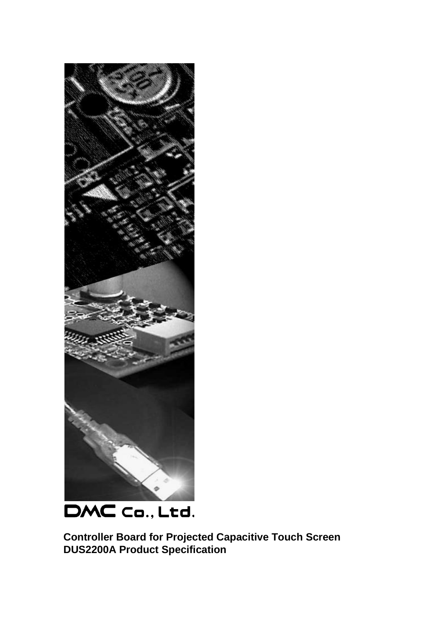

DMC Co., Ltd.

**Controller Board for Projected Capacitive Touch Screen DUS2200A Product Specification**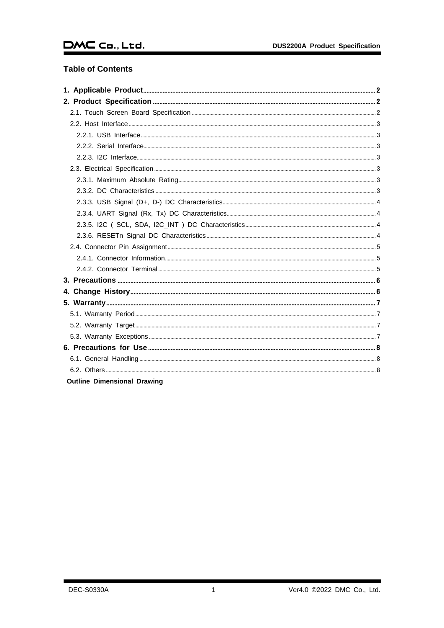# $DMC$  Co., Ltd.

## **Table of Contents**

| <b>Outline Dimensional Drawing</b> |  |
|------------------------------------|--|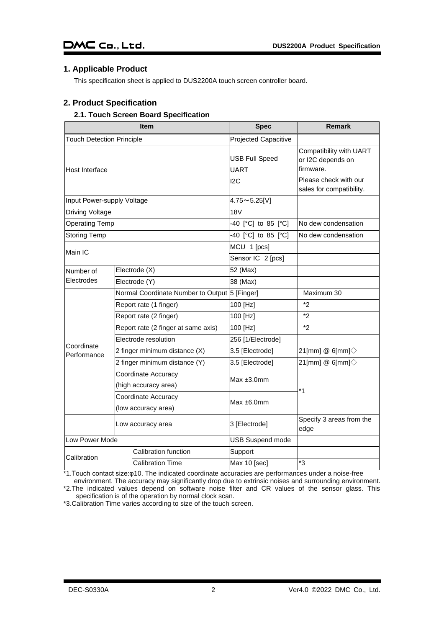## <span id="page-2-0"></span>**1. Applicable Product**

This specification sheet is applied to DUS2200A touch screen controller board.

## <span id="page-2-1"></span>**2. Product Specification**

### <span id="page-2-2"></span>**2.1. Touch Screen Board Specification**

| <b>Item</b>                      |                                        |                                               | <b>Spec</b>                                       | <b>Remark</b>                                                                                                  |  |
|----------------------------------|----------------------------------------|-----------------------------------------------|---------------------------------------------------|----------------------------------------------------------------------------------------------------------------|--|
| <b>Touch Detection Principle</b> |                                        |                                               | Projected Capacitive                              |                                                                                                                |  |
| Host Interface                   |                                        |                                               | <b>USB Full Speed</b><br>UART<br>I <sub>2</sub> C | Compatibility with UART<br>or I2C depends on<br>firmware.<br>Please check with our<br>sales for compatibility. |  |
| Input Power-supply Voltage       |                                        |                                               | $4.75 \sim 5.25$ [V]                              |                                                                                                                |  |
| <b>Driving Voltage</b>           |                                        |                                               | <b>18V</b>                                        |                                                                                                                |  |
| <b>Operating Temp</b>            |                                        |                                               | -40 [°C] to 85 [°C]                               | No dew condensation                                                                                            |  |
| <b>Storing Temp</b>              |                                        |                                               | -40 [°C] to 85 [°C]                               | No dew condensation                                                                                            |  |
| Main IC                          |                                        |                                               | MCU 1 [pcs]                                       |                                                                                                                |  |
|                                  |                                        | Sensor IC 2 [pcs]                             |                                                   |                                                                                                                |  |
| Number of                        |                                        | Electrode (X)                                 | 52 (Max)                                          |                                                                                                                |  |
| Electrodes                       |                                        | Electrode (Y)                                 | 38 (Max)                                          |                                                                                                                |  |
|                                  |                                        | Normal Coordinate Number to Output 5 [Finger] |                                                   | Maximum 30                                                                                                     |  |
|                                  |                                        | Report rate (1 finger)                        | 100 [Hz]                                          | *2                                                                                                             |  |
|                                  |                                        | Report rate (2 finger)                        | 100 [Hz]                                          | $^{\star}2$                                                                                                    |  |
|                                  |                                        | Report rate (2 finger at same axis)           | 100 [Hz]                                          | $*_{2}$                                                                                                        |  |
| Coordinate                       |                                        | Electrode resolution                          | 256 [1/Electrode]                                 |                                                                                                                |  |
| Performance                      |                                        | 2 finger minimum distance (X)                 | 3.5 [Electrode]                                   | 21[mm] @ 6[mm] $\diamondsuit$                                                                                  |  |
|                                  |                                        | 2 finger minimum distance (Y)                 | 3.5 [Electrode]                                   | 21[mm] @ 6[mm] $\diamondsuit$                                                                                  |  |
|                                  |                                        | Coordinate Accuracy                           | Max $±3.0$ mm                                     |                                                                                                                |  |
|                                  |                                        | (high accuracy area)                          |                                                   | $*1$                                                                                                           |  |
| Coordinate Accuracy              |                                        | Max $±6.0$ mm                                 |                                                   |                                                                                                                |  |
| (low accuracy area)              |                                        |                                               |                                                   |                                                                                                                |  |
| Low accuracy area                |                                        |                                               | 3 [Electrode]                                     | Specify 3 areas from the<br>edge                                                                               |  |
| Low Power Mode                   |                                        |                                               | <b>USB Suspend mode</b>                           |                                                                                                                |  |
|                                  |                                        | Calibration function                          | Support                                           |                                                                                                                |  |
|                                  | Calibration<br><b>Calibration Time</b> |                                               | Max 10 [sec]                                      | *3                                                                                                             |  |

\*1.Touch contact size:φ10. The indicated coordinate accuracies are performances under a noise-free

environment. The accuracy may significantly drop due to extrinsic noises and surrounding environment. \*2.The indicated values depend on software noise filter and CR values of the sensor glass. This specification is of the operation by normal clock scan.

\*3.Calibration Time varies according to size of the touch screen.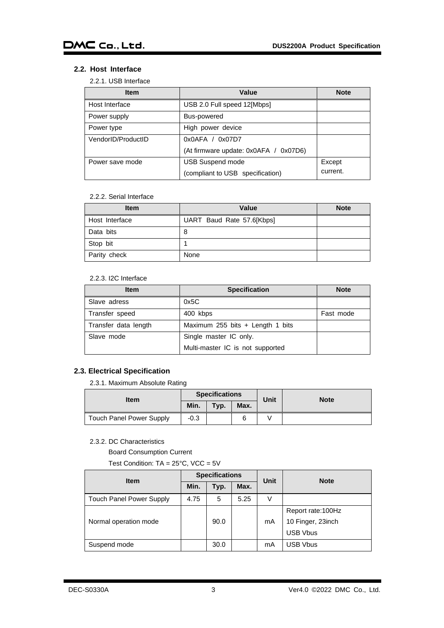### <span id="page-3-1"></span><span id="page-3-0"></span>**2.2. Host Interface**

### 2.2.1. USB Interface

| <b>Item</b>        | Value                                 | <b>Note</b> |
|--------------------|---------------------------------------|-------------|
| Host Interface     | USB 2.0 Full speed 12[Mbps]           |             |
| Power supply       | Bus-powered                           |             |
| Power type         | High power device                     |             |
| VendorID/ProductID | 0x0AFA / 0x07D7                       |             |
|                    | (At firmware update: 0x0AFA / 0x07D6) |             |
| Power save mode    | <b>USB Suspend mode</b>               | Except      |
|                    | (compliant to USB specification)      | current.    |

### 2.2.2. Serial Interface

<span id="page-3-2"></span>

| <b>Item</b>    | Value                     | <b>Note</b> |
|----------------|---------------------------|-------------|
| Host Interface | UART Baud Rate 57.6[Kbps] |             |
| Data bits      | 8                         |             |
| Stop bit       |                           |             |
| Parity check   | None                      |             |

### 2.2.3. I2C Interface

<span id="page-3-3"></span>

| <b>Item</b>          | <b>Specification</b>             | <b>Note</b> |
|----------------------|----------------------------------|-------------|
| Slave adress         | 0x5C                             |             |
| Transfer speed       | 400 kbps                         | Fast mode   |
| Transfer data length | Maximum 255 bits + Length 1 bits |             |
| Slave mode           | Single master IC only.           |             |
|                      | Multi-master IC is not supported |             |

### <span id="page-3-5"></span><span id="page-3-4"></span>**2.3. Electrical Specification**

2.3.1. Maximum Absolute Rating

| <b>Item</b>                     | <b>Specifications</b> |      |      | Unit | <b>Note</b> |
|---------------------------------|-----------------------|------|------|------|-------------|
|                                 | Min.                  | Typ. | Max. |      |             |
| <b>Touch Panel Power Supply</b> | $-0.3$                |      |      |      |             |

### <span id="page-3-6"></span>2.3.2. DC Characteristics

Board Consumption Current

Test Condition: TA = 25°C, VCC = 5V

| <b>Item</b>                     | <b>Specifications</b> |      |      | <b>Unit</b> | <b>Note</b>        |
|---------------------------------|-----------------------|------|------|-------------|--------------------|
|                                 | Min.                  | Typ. | Max. |             |                    |
| <b>Touch Panel Power Supply</b> | 4.75                  | 5    | 5.25 | V           |                    |
|                                 |                       |      |      |             | Report rate: 100Hz |
| Normal operation mode           |                       | 90.0 |      | mA          | 10 Finger, 23inch  |
|                                 |                       |      |      |             | <b>USB Vbus</b>    |
| Suspend mode                    |                       | 30.0 |      | mA          | <b>USB Vbus</b>    |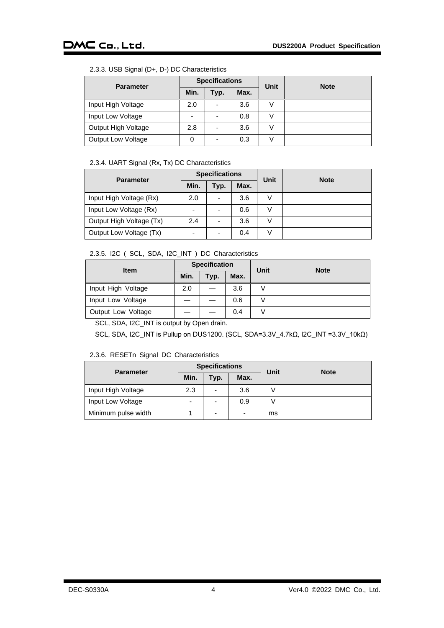### 2.3.3. USB Signal (D+, D-) DC Characteristics

<span id="page-4-0"></span>

| <b>Parameter</b>          | <b>Specifications</b>    |      |      | Unit | <b>Note</b> |
|---------------------------|--------------------------|------|------|------|-------------|
|                           | Min.                     | Typ. | Max. |      |             |
| Input High Voltage        | 2.0                      | ۰    | 3.6  |      |             |
| Input Low Voltage         | $\overline{\phantom{0}}$ | ۰    | 0.8  |      |             |
| Output High Voltage       | 2.8                      | ٠    | 3.6  | V    |             |
| <b>Output Low Voltage</b> | 0                        | ۰    | 0.3  | V    |             |

### 2.3.4. UART Signal (Rx, Tx) DC Characteristics

<span id="page-4-1"></span>

| <b>Parameter</b>         | <b>Specifications</b> |      |      | Unit | <b>Note</b> |
|--------------------------|-----------------------|------|------|------|-------------|
|                          | Min.                  | Typ. | Max. |      |             |
| Input High Voltage (Rx)  | 2.0                   | -    | 3.6  |      |             |
| Input Low Voltage (Rx)   |                       | -    | 0.6  |      |             |
| Output High Voltage (Tx) | 2.4                   |      | 3.6  |      |             |
| Output Low Voltage (Tx)  |                       | -    | 0.4  |      |             |

### 2.3.5. I2C ( SCL, SDA, I2C\_INT ) DC Characteristics

<span id="page-4-2"></span>

| <b>Item</b>        | <b>Specification</b> |      |      | Unit          | <b>Note</b> |
|--------------------|----------------------|------|------|---------------|-------------|
|                    | Min.                 | Typ. | Max. |               |             |
| Input High Voltage | 2.0                  |      | 3.6  | $\mathcal{L}$ |             |
| Input Low Voltage  |                      |      | 0.6  | $\mathcal{L}$ |             |
| Output Low Voltage |                      |      | 0.4  |               |             |

SCL, SDA, I2C\_INT is output by Open drain.

SCL, SDA, I2C\_INT is Pullup on DUS1200. (SCL, SDA=3.3V\_4.7kΩ, I2C\_INT =3.3V\_10kΩ)

### 2.3.6. RESETn Signal DC Characteristics

<span id="page-4-3"></span>

| <b>Parameter</b>    | <b>Specifications</b>    |      |                          | <b>Unit</b> | <b>Note</b> |
|---------------------|--------------------------|------|--------------------------|-------------|-------------|
|                     | Min.                     | Typ. | Max.                     |             |             |
| Input High Voltage  | 2.3                      | -    | 3.6                      |             |             |
| Input Low Voltage   | $\overline{\phantom{0}}$ | -    | 0.9                      |             |             |
| Minimum pulse width |                          | -    | $\overline{\phantom{0}}$ | ms          |             |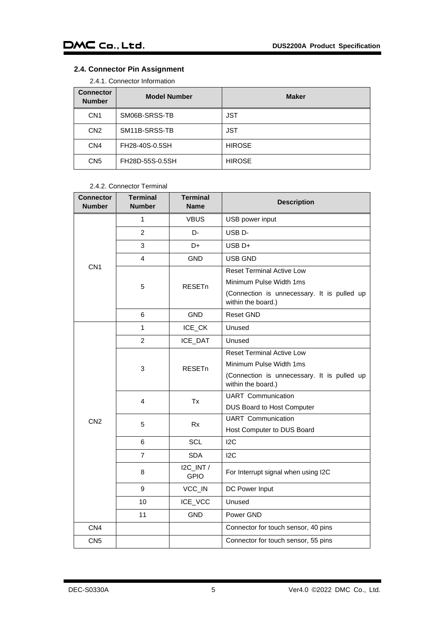## <span id="page-5-0"></span>**2.4. Connector Pin Assignment**

2.4.1. Connector Information

<span id="page-5-1"></span>

| <b>Connector</b><br><b>Number</b> | <b>Model Number</b> | <b>Maker</b>  |
|-----------------------------------|---------------------|---------------|
| CN <sub>1</sub>                   | SM06B-SRSS-TB       | <b>JST</b>    |
| CN <sub>2</sub>                   | SM11B-SRSS-TB       | <b>JST</b>    |
| CN <sub>4</sub>                   | FH28-40S-0.5SH      | <b>HIROSE</b> |
| CN <sub>5</sub>                   | FH28D-55S-0.5SH     | <b>HIROSE</b> |

### 2.4.2. Connector Terminal

<span id="page-5-2"></span>

| <b>Connector</b><br><b>Number</b> | <b>Terminal</b><br><b>Number</b> | <b>Terminal</b><br><b>Name</b> | <b>Description</b>                                                |
|-----------------------------------|----------------------------------|--------------------------------|-------------------------------------------------------------------|
| CN <sub>1</sub>                   | 1                                | <b>VBUS</b>                    | USB power input                                                   |
|                                   | $\overline{2}$                   | $D -$                          | USB <sub>D</sub> -                                                |
|                                   | 3                                | D+                             | USB D+                                                            |
|                                   | 4                                | <b>GND</b>                     | USB GND                                                           |
|                                   | 5                                | <b>RESETn</b>                  | <b>Reset Terminal Active Low</b>                                  |
|                                   |                                  |                                | Minimum Pulse Width 1ms                                           |
|                                   |                                  |                                | (Connection is unnecessary. It is pulled up<br>within the board.) |
|                                   | 6                                | <b>GND</b>                     | <b>Reset GND</b>                                                  |
| CN <sub>2</sub>                   | 1                                | ICE_CK                         | Unused                                                            |
|                                   | $\overline{2}$                   | ICE_DAT                        | Unused                                                            |
|                                   | 3                                | <b>RESETn</b>                  | <b>Reset Terminal Active Low</b>                                  |
|                                   |                                  |                                | Minimum Pulse Width 1ms                                           |
|                                   |                                  |                                | (Connection is unnecessary. It is pulled up<br>within the board.) |
|                                   | 4                                | <b>Tx</b>                      | <b>UART</b> Communication                                         |
|                                   |                                  |                                | DUS Board to Host Computer                                        |
|                                   | 5                                | <b>Rx</b>                      | <b>UART</b> Communication                                         |
|                                   |                                  |                                | Host Computer to DUS Board                                        |
|                                   | 6                                | <b>SCL</b>                     | 12C                                                               |
|                                   | $\overline{7}$                   | <b>SDA</b>                     | 12C                                                               |
|                                   | 8                                | I2C_INT /<br><b>GPIO</b>       | For Interrupt signal when using I2C                               |
|                                   | 9                                | VCC_IN                         | DC Power Input                                                    |
|                                   | 10                               | ICE_VCC                        | Unused                                                            |
|                                   | 11                               | <b>GND</b>                     | Power GND                                                         |
| CN <sub>4</sub>                   |                                  |                                | Connector for touch sensor, 40 pins                               |
| CN <sub>5</sub>                   |                                  |                                | Connector for touch sensor, 55 pins                               |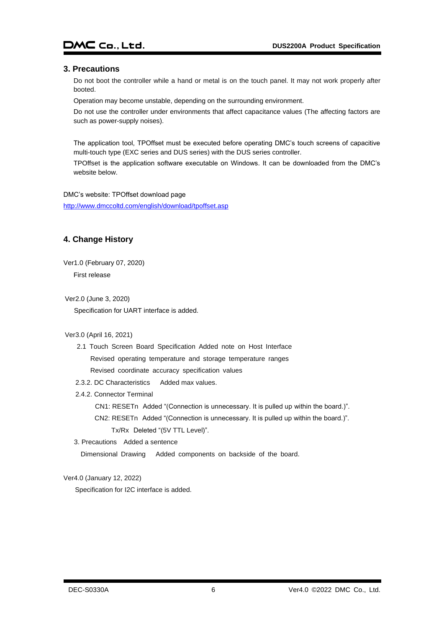### <span id="page-6-0"></span>**3. Precautions**

Do not boot the controller while a hand or metal is on the touch panel. It may not work properly after booted.

Operation may become unstable, depending on the surrounding environment.

Do not use the controller under environments that affect capacitance values (The affecting factors are such as power-supply noises).

The application tool, TPOffset must be executed before operating DMC's touch screens of capacitive multi-touch type (EXC series and DUS series) with the DUS series controller.

TPOffset is the application software executable on Windows. It can be downloaded from the DMC's website below.

DMC's website: TPOffset download page <http://www.dmccoltd.com/english/download/tpoffset.asp>

## <span id="page-6-1"></span>**4. Change History**

Ver1.0 (February 07, 2020) First release

Ver2.0 (June 3, 2020)

Specification for UART interface is added.

### Ver3.0 (April 16, 2021)

2.1 Touch Screen Board Specification Added note on Host Interface Revised operating temperature and storage temperature ranges Revised coordinate accuracy specification values

- 2.3.2. DC Characteristics Added max values.
- 2.4.2. Connector Terminal

CN1: RESETn Added "(Connection is unnecessary. It is pulled up within the board.)".

CN2: RESETn Added "(Connection is unnecessary. It is pulled up within the board.)".

Tx/Rx Deleted "(5V TTL Level)".

3. Precautions Added a sentence

Dimensional Drawing Added components on backside of the board.

### Ver4.0 (January 12, 2022)

Specification for I2C interface is added.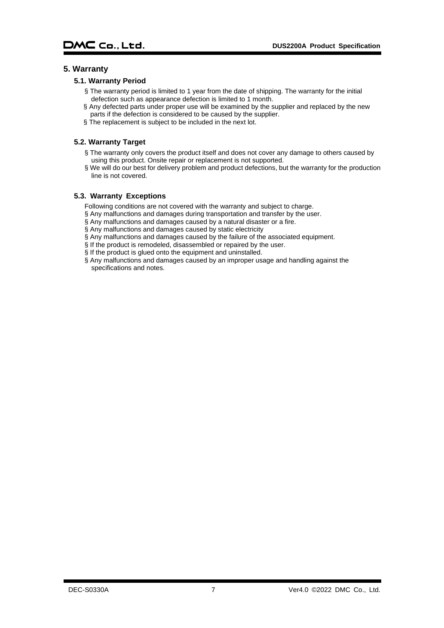### <span id="page-7-1"></span><span id="page-7-0"></span>**5. Warranty**

### **5.1. Warranty Period**

- § The warranty period is limited to 1 year from the date of shipping. The warranty for the initial defection such as appearance defection is limited to 1 month.
- § Any defected parts under proper use will be examined by the supplier and replaced by the new parts if the defection is considered to be caused by the supplier.
- § The replacement is subject to be included in the next lot.

### <span id="page-7-2"></span>**5.2. Warranty Target**

- § The warranty only covers the product itself and does not cover any damage to others caused by using this product. Onsite repair or replacement is not supported.
- § We will do our best for delivery problem and product defections, but the warranty for the production line is not covered.

### <span id="page-7-3"></span>**5.3. Warranty Exceptions**

Following conditions are not covered with the warranty and subject to charge.

- § Any malfunctions and damages during transportation and transfer by the user.
- § Any malfunctions and damages caused by a natural disaster or a fire.
- § Any malfunctions and damages caused by static electricity
- § Any malfunctions and damages caused by the failure of the associated equipment.
- § If the product is remodeled, disassembled or repaired by the user.
- § If the product is glued onto the equipment and uninstalled.
- $\S$  Any malfunctions and damages caused by an improper usage and handling against the specifications and notes.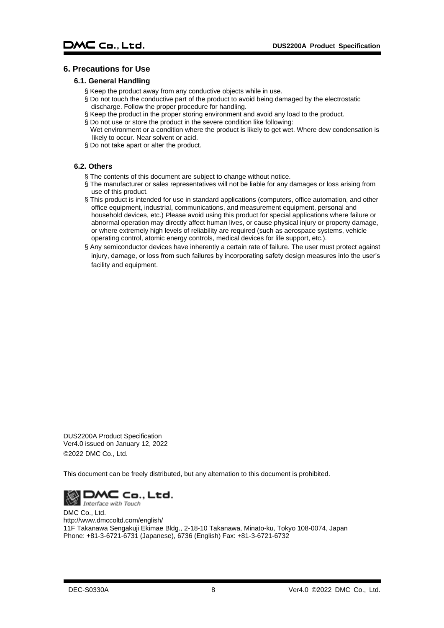### <span id="page-8-1"></span><span id="page-8-0"></span>**6. Precautions for Use**

### **6.1. General Handling**

- § Keep the product away from any conductive objects while in use.
- § Do not touch the conductive part of the product to avoid being damaged by the electrostatic discharge. Follow the proper procedure for handling.
- § Keep the product in the proper storing environment and avoid any load to the product.
- § Do not use or store the product in the severe condition like following: Wet environment or a condition where the product is likely to get wet. Where dew condensation is likely to occur. Near solvent or acid.
- § Do not take apart or alter the product.

### <span id="page-8-2"></span>**6.2. Others**

- § The contents of this document are subject to change without notice.
- § The manufacturer or sales representatives will not be liable for any damages or loss arising from use of this product.
- § This product is intended for use in standard applications (computers, office automation, and other office equipment, industrial, communications, and measurement equipment, personal and household devices, etc.) Please avoid using this product for special applications where failure or abnormal operation may directly affect human lives, or cause physical injury or property damage, or where extremely high levels of reliability are required (such as aerospace systems, vehicle operating control, atomic energy controls, medical devices for life support, etc.).
- § Any semiconductor devices have inherently a certain rate of failure. The user must protect against injury, damage, or loss from such failures by incorporating safety design measures into the user's facility and equipment.

DUS2200A Product Specification Ver4.0 issued on January 12, 2022 ©2022 DMC Co., Ltd.

This document can be freely distributed, but any alternation to this document is prohibited.



Interface with Touch DMC Co., Ltd. http://www.dmccoltd.com/english/ 11F Takanawa Sengakuji Ekimae Bldg., 2-18-10 Takanawa, Minato-ku, Tokyo 108-0074, Japan Phone: +81-3-6721-6731 (Japanese), 6736 (English) Fax: +81-3-6721-6732